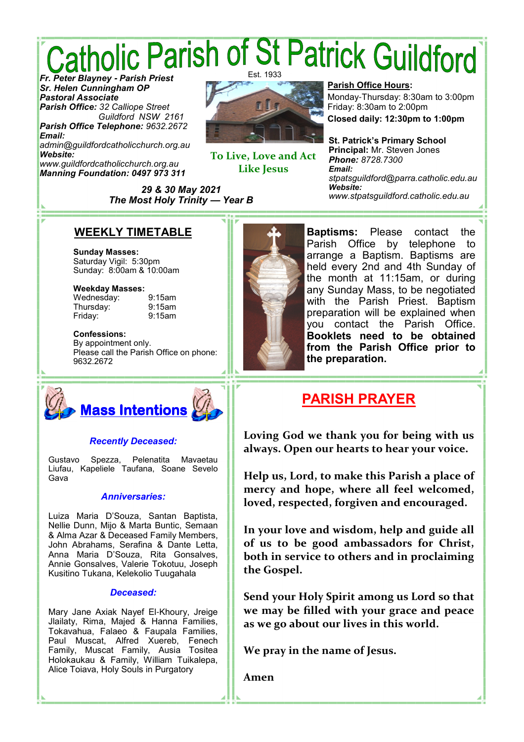# *Catholic Parish of St Patrick Guildford* Est. 1933

*Sr. Helen Cunningham OP Pastoral Associate Parish Office: 32 Calliope Street Guildford NSW 2161*

*Parish Office Telephone: 9632.2672 Email: admin@guildfordcatholicchurch.org.au*

*Website:*

*www.guildfordcatholicchurch.org.au Manning Foundation: 0497 973 311*



**To Live, Love and Act Like Jesus** 

**Parish Office Hours:**

Monday-Thursday: 8:30am to 3:00pm Friday: 8:30am to 2:00pm

**Closed daily: 12:30pm to 1:00pm**

**St. Patrick's Primary School Principal:** Mr. Steven Jones *Phone: 8728.7300 Email: stpatsguildford@parra.catholic.edu.au Website: www.stpatsguildford.catholic.edu.au*

*29 & 30 May 2021 The Most Holy Trinity* **—** *Year B*

### **WEEKLY TIMETABLE**

**Sunday Masses:** Saturday Vigil: 5:30pm Sunday: 8:00am & 10:00am

#### **Weekday Masses:**

Wednesday: 9:15am Thursday: 9:15am Friday: 9:15am

### **Confessions:**

By appointment only. Please call the Parish Office on phone: 9632.2672



#### *Recently Deceased:*

Gustavo Spezza, Pelenatita Mavaetau Liufau, Kapeliele Taufana, Soane Sevelo Gava

#### *Anniversaries:*

Luiza Maria D'Souza, Santan Baptista, Nellie Dunn, Mijo & Marta Buntic, Semaan & Alma Azar & Deceased Family Members, John Abrahams, Serafina & Dante Letta, Anna Maria D'Souza, Rita Gonsalves, Annie Gonsalves, Valerie Tokotuu, Joseph Kusitino Tukana, Kelekolio Tuugahala

#### *Deceased:*

Mary Jane Axiak Nayef El-Khoury, Jreige Jlailaty, Rima, Majed & Hanna Families, Tokavahua, Falaeo & Faupala Families, Paul Muscat, Alfred Xuereb, Fenech Family, Muscat Family, Ausia Tositea Holokaukau & Family, William Tuikalepa, Alice Toiava, Holy Souls in Purgatory



**Baptisms:** Please contact the Parish Office by telephone to arrange a Baptism. Baptisms are held every 2nd and 4th Sunday of the month at 11:15am, or during any Sunday Mass, to be negotiated with the Parish Priest. Baptism preparation will be explained when you contact the Parish Office. **Booklets need to be obtained from the Parish Office prior to the preparation.**

## **PARISH PRAYER**

**Loving God we thank you for being with us always. Open our hearts to hear your voice.** 

**Help us, Lord, to make this Parish a place of mercy and hope, where all feel welcomed, loved, respected, forgiven and encouraged.** 

**In your love and wisdom, help and guide all of us to be good ambassadors for Christ, both in service to others and in proclaiming the Gospel.** 

**Send your Holy Spirit among us Lord so that we may be filled with your grace and peace as we go about our lives in this world.** 

**We pray in the name of Jesus.** 

**Amen**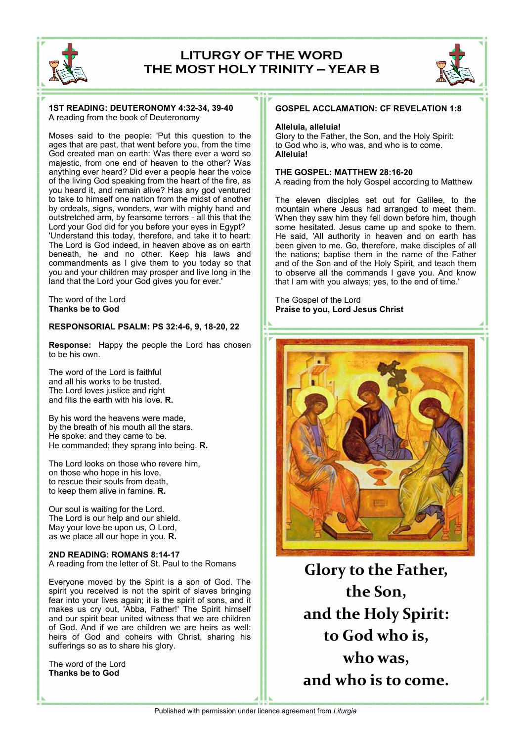

### **LITURGY OF THE WORD THE MOST HOLY TRINITY — YEAR B**



#### **1ST READING: DEUTERONOMY 4:32-34, 39-40** A reading from the book of Deuteronomy

Moses said to the people: 'Put this question to the ages that are past, that went before you, from the time God created man on earth: Was there ever a word so majestic, from one end of heaven to the other? Was anything ever heard? Did ever a people hear the voice of the living God speaking from the heart of the fire, as you heard it, and remain alive? Has any god ventured to take to himself one nation from the midst of another by ordeals, signs, wonders, war with mighty hand and outstretched arm, by fearsome terrors - all this that the Lord your God did for you before your eyes in Egypt? 'Understand this today, therefore, and take it to heart: The Lord is God indeed, in heaven above as on earth beneath, he and no other. Keep his laws and commandments as I give them to you today so that you and your children may prosper and live long in the land that the Lord your God gives you for ever.'

The word of the Lord **Thanks be to God**

#### **RESPONSORIAL PSALM: PS 32:4-6, 9, 18-20, 22**

**Response:** Happy the people the Lord has chosen to be his own.

The word of the Lord is faithful and all his works to be trusted. The Lord loves justice and right and fills the earth with his love. **R.**

By his word the heavens were made, by the breath of his mouth all the stars. He spoke: and they came to be. He commanded; they sprang into being. **R.**

The Lord looks on those who revere him, on those who hope in his love, to rescue their souls from death, to keep them alive in famine. **R.**

Our soul is waiting for the Lord. The Lord is our help and our shield. May your love be upon us, O Lord, as we place all our hope in you. **R.**

**2ND READING: ROMANS 8:14-17** A reading from the letter of St. Paul to the Romans

Everyone moved by the Spirit is a son of God. The spirit you received is not the spirit of slaves bringing fear into your lives again; it is the spirit of sons, and it makes us cry out, 'Abba, Father!' The Spirit himself and our spirit bear united witness that we are children of God. And if we are children we are heirs as well: heirs of God and coheirs with Christ, sharing his sufferings so as to share his glory.

The word of the Lord **Thanks be to God**

#### **GOSPEL ACCLAMATION: CF REVELATION 1:8**

#### **Alleluia, alleluia!**

Glory to the Father, the Son, and the Holy Spirit: to God who is, who was, and who is to come. **Alleluia!**

#### **THE GOSPEL: MATTHEW 28:16-20**

A reading from the holy Gospel according to Matthew

The eleven disciples set out for Galilee, to the mountain where Jesus had arranged to meet them. When they saw him they fell down before him, though some hesitated. Jesus came up and spoke to them. He said, 'All authority in heaven and on earth has been given to me. Go, therefore, make disciples of all the nations; baptise them in the name of the Father and of the Son and of the Holy Spirit, and teach them to observe all the commands I gave you. And know that I am with you always; yes, to the end of time.'

The Gospel of the Lord **Praise to you, Lord Jesus Christ**



**Glory to the Father, the Son, and the Holy Spirit: to God who is, who was, and who is to come.**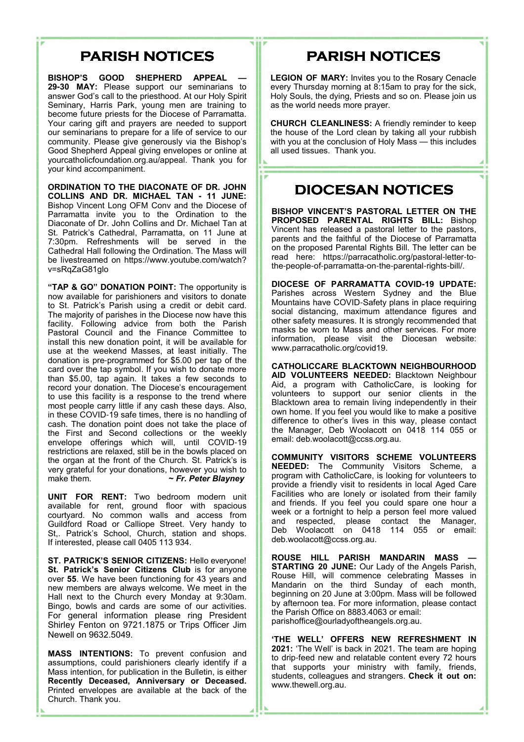### **PARISH NOTICES**

**BISHOP'S GOOD SHEPHERD APPEAL — 29-30 MAY:** Please support our seminarians to answer God's call to the priesthood. At our Holy Spirit Seminary, Harris Park, young men are training to become future priests for the Diocese of Parramatta. Your caring gift and prayers are needed to support our seminarians to prepare for a life of service to our community. Please give generously via the Bishop's Good Shepherd Appeal giving envelopes or online at yourcatholicfoundation.org.au/appeal. Thank you for your kind accompaniment.

**ORDINATION TO THE DIACONATE OF DR. JOHN COLLINS AND DR. MICHAEL TAN - 11 JUNE:** Bishop Vincent Long OFM Conv and the Diocese of Parramatta invite you to the Ordination to the Diaconate of Dr. John Collins and Dr. Michael Tan at St. Patrick's Cathedral, Parramatta, on 11 June at 7:30pm. Refreshments will be served in the Cathedral Hall following the Ordination. The Mass will be livestreamed on https://www.youtube.com/watch? v=sRqZaG81glo

**"TAP & GO" DONATION POINT:** The opportunity is now available for parishioners and visitors to donate to St. Patrick's Parish using a credit or debit card. The majority of parishes in the Diocese now have this facility. Following advice from both the Parish Pastoral Council and the Finance Committee to install this new donation point, it will be available for use at the weekend Masses, at least initially. The donation is pre-programmed for \$5.00 per tap of the card over the tap symbol. If you wish to donate more than \$5.00, tap again. It takes a few seconds to record your donation. The Diocese's encouragement to use this facility is a response to the trend where most people carry little if any cash these days. Also, in these COVID-19 safe times, there is no handling of cash. The donation point does not take the place of the First and Second collections or the weekly envelope offerings which will, until COVID-19 restrictions are relaxed, still be in the bowls placed on the organ at the front of the Church. St. Patrick's is very grateful for your donations, however you wish to make them. **~** *Fr. Peter Blayney*

**UNIT FOR RENT:** Two bedroom modern unit available for rent, ground floor with spacious courtyard. No common walls and access from Guildford Road or Calliope Street. Very handy to St,. Patrick's School, Church, station and shops. If interested, please call 0405 113 934.

**ST. PATRICK'S SENIOR CITIZENS:** Hello everyone! **St. Patrick's Senior Citizens Club** is for anyone over **55**. We have been functioning for 43 years and new members are always welcome. We meet in the Hall next to the Church every Monday at 9:30am. Bingo, bowls and cards are some of our activities. For general information please ring President Shirley Fenton on 9721.1875 or Trips Officer Jim Newell on 9632.5049.

**MASS INTENTIONS:** To prevent confusion and assumptions, could parishioners clearly identify if a Mass intention, for publication in the Bulletin, is either **Recently Deceased, Anniversary or Deceased.** Printed envelopes are available at the back of the Church. Thank you.

# **PARISH NOTICES**

**LEGION OF MARY:** Invites you to the Rosary Cenacle every Thursday morning at 8:15am to pray for the sick, Holy Souls, the dying, Priests and so on. Please join us as the world needs more prayer.

**CHURCH CLEANLINESS:** A friendly reminder to keep the house of the Lord clean by taking all your rubbish with you at the conclusion of Holy Mass — this includes all used tissues. Thank you.

# **DIOCESAN NOTICES**

**BISHOP VINCENT'S PASTORAL LETTER ON THE PROPOSED PARENTAL RIGHTS BILL:** Bishop Vincent has released a pastoral letter to the pastors, parents and the faithful of the Diocese of Parramatta on the proposed Parental Rights Bill. The letter can be read here: https://parracatholic.org/pastoral-letter-tothe-people-of-parramatta-on-the-parental-rights-bill/.

**DIOCESE OF PARRAMATTA COVID-19 UPDATE:** Parishes across Western Sydney and the Blue Mountains have COVID-Safety plans in place requiring social distancing, maximum attendance figures and other safety measures. It is strongly recommended that masks be worn to Mass and other services. For more information, please visit the Diocesan website: www.parracatholic.org/covid19.

**CATHOLICCARE BLACKTOWN NEIGHBOURHOOD AID VOLUNTEERS NEEDED:** Blacktown Neighbour Aid, a program with CatholicCare, is looking for volunteers to support our senior clients in the Blacktown area to remain living independently in their own home. If you feel you would like to make a positive difference to other's lives in this way, please contact the Manager, Deb Woolacott on 0418 114 055 or email: deb.woolacott@ccss.org.au.

**COMMUNITY VISITORS SCHEME VOLUNTEERS NEEDED:** The Community Visitors Scheme, a program with CatholicCare, is looking for volunteers to provide a friendly visit to residents in local Aged Care Facilities who are lonely or isolated from their family and friends. If you feel you could spare one hour a week or a fortnight to help a person feel more valued and respected, please contact the Manager, Deb Woolacott on 0418 114 055 or email: deb.woolacott@ccss.org.au.

**ROUSE HILL PARISH MANDARIN MASS — STARTING 20 JUNE:** Our Lady of the Angels Parish, Rouse Hill, will commence celebrating Masses in Mandarin on the third Sunday of each month, beginning on 20 June at 3:00pm. Mass will be followed by afternoon tea. For more information, please contact the Parish Office on 8883.4063 or email: parishoffice@ourladyoftheangels.org.au.

**'THE WELL' OFFERS NEW REFRESHMENT IN 2021:** 'The Well' is back in 2021. The team are hoping to drip-feed new and relatable content every 72 hours that supports your ministry with family, friends, students, colleagues and strangers. **Check it out on:** www.thewell.org.au.